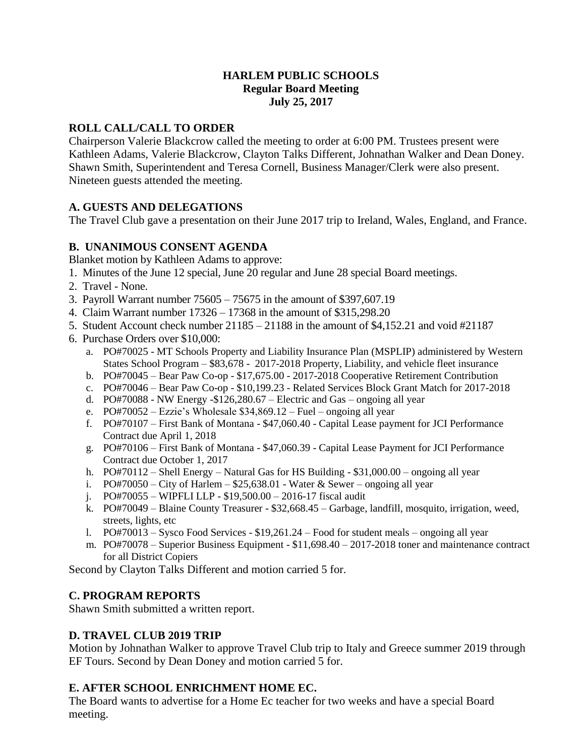### **HARLEM PUBLIC SCHOOLS Regular Board Meeting July 25, 2017**

### **ROLL CALL/CALL TO ORDER**

Chairperson Valerie Blackcrow called the meeting to order at 6:00 PM. Trustees present were Kathleen Adams, Valerie Blackcrow, Clayton Talks Different, Johnathan Walker and Dean Doney. Shawn Smith, Superintendent and Teresa Cornell, Business Manager/Clerk were also present. Nineteen guests attended the meeting.

## **A. GUESTS AND DELEGATIONS**

The Travel Club gave a presentation on their June 2017 trip to Ireland, Wales, England, and France.

## **B. UNANIMOUS CONSENT AGENDA**

Blanket motion by Kathleen Adams to approve:

- 1. Minutes of the June 12 special, June 20 regular and June 28 special Board meetings.
- 2. Travel None.
- 3. Payroll Warrant number 75605 75675 in the amount of \$397,607.19
- 4. Claim Warrant number 17326 17368 in the amount of \$315,298.20
- 5. Student Account check number 21185 21188 in the amount of \$4,152.21 and void #21187
- 6. Purchase Orders over \$10,000:
	- a. PO#70025 MT Schools Property and Liability Insurance Plan (MSPLIP) administered by Western States School Program – \$83,678 - 2017-2018 Property, Liability, and vehicle fleet insurance
	- b. PO#70045 Bear Paw Co-op \$17,675.00 2017-2018 Cooperative Retirement Contribution
	- c. PO#70046 Bear Paw Co-op \$10,199.23 Related Services Block Grant Match for 2017-2018
	- d. PO#70088 NW Energy - $$126,280.67$  Electric and Gas ongoing all year
	- e. PO#70052 Ezzie's Wholesale \$34,869.12 Fuel ongoing all year
	- f. PO#70107 First Bank of Montana \$47,060.40 Capital Lease payment for JCI Performance Contract due April 1, 2018
	- g. PO#70106 First Bank of Montana \$47,060.39 Capital Lease Payment for JCI Performance Contract due October 1, 2017
	- h. PO#70112 Shell Energy Natural Gas for HS Building \$31,000.00 ongoing all year
	- i.  $PO#70050 City of Harlem $25,638.01 Water & Sewer ongoing all year$
	- j. PO#70055 WIPFLI LLP \$19,500.00 2016-17 fiscal audit
	- k. PO#70049 Blaine County Treasurer \$32,668.45 Garbage, landfill, mosquito, irrigation, weed, streets, lights, etc
	- l. PO#70013 Sysco Food Services \$19,261.24 Food for student meals ongoing all year
	- m. PO#70078 Superior Business Equipment \$11,698.40 2017-2018 toner and maintenance contract for all District Copiers

Second by Clayton Talks Different and motion carried 5 for.

### **C. PROGRAM REPORTS**

Shawn Smith submitted a written report.

### **D. TRAVEL CLUB 2019 TRIP**

Motion by Johnathan Walker to approve Travel Club trip to Italy and Greece summer 2019 through EF Tours. Second by Dean Doney and motion carried 5 for.

# **E. AFTER SCHOOL ENRICHMENT HOME EC.**

The Board wants to advertise for a Home Ec teacher for two weeks and have a special Board meeting.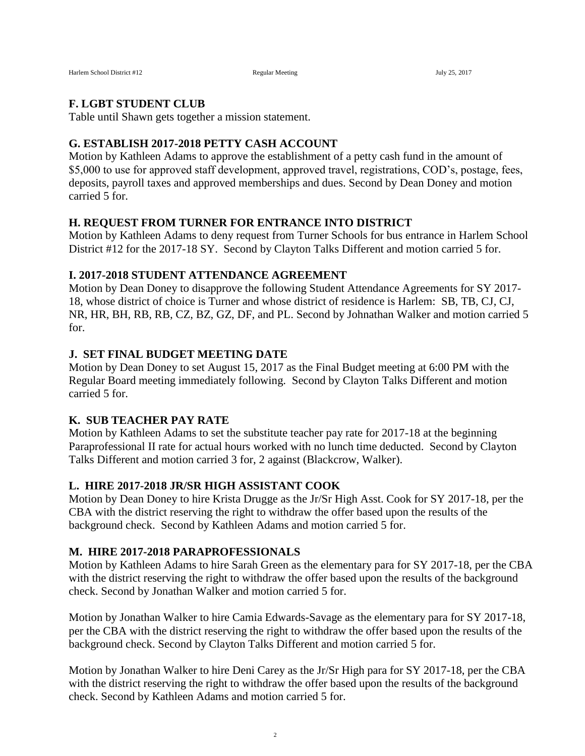#### **F. LGBT STUDENT CLUB**

Table until Shawn gets together a mission statement.

#### **G. ESTABLISH 2017-2018 PETTY CASH ACCOUNT**

Motion by Kathleen Adams to approve the establishment of a petty cash fund in the amount of \$5,000 to use for approved staff development, approved travel, registrations, COD's, postage, fees, deposits, payroll taxes and approved memberships and dues. Second by Dean Doney and motion carried 5 for.

#### **H. REQUEST FROM TURNER FOR ENTRANCE INTO DISTRICT**

Motion by Kathleen Adams to deny request from Turner Schools for bus entrance in Harlem School District #12 for the 2017-18 SY. Second by Clayton Talks Different and motion carried 5 for.

#### **I. 2017-2018 STUDENT ATTENDANCE AGREEMENT**

Motion by Dean Doney to disapprove the following Student Attendance Agreements for SY 2017- 18, whose district of choice is Turner and whose district of residence is Harlem: SB, TB, CJ, CJ, NR, HR, BH, RB, RB, CZ, BZ, GZ, DF, and PL. Second by Johnathan Walker and motion carried 5 for.

#### **J. SET FINAL BUDGET MEETING DATE**

Motion by Dean Doney to set August 15, 2017 as the Final Budget meeting at 6:00 PM with the Regular Board meeting immediately following. Second by Clayton Talks Different and motion carried 5 for.

#### **K. SUB TEACHER PAY RATE**

Motion by Kathleen Adams to set the substitute teacher pay rate for 2017-18 at the beginning Paraprofessional II rate for actual hours worked with no lunch time deducted. Second by Clayton Talks Different and motion carried 3 for, 2 against (Blackcrow, Walker).

#### **L. HIRE 2017-2018 JR/SR HIGH ASSISTANT COOK**

Motion by Dean Doney to hire Krista Drugge as the Jr/Sr High Asst. Cook for SY 2017-18, per the CBA with the district reserving the right to withdraw the offer based upon the results of the background check. Second by Kathleen Adams and motion carried 5 for.

#### **M. HIRE 2017-2018 PARAPROFESSIONALS**

Motion by Kathleen Adams to hire Sarah Green as the elementary para for SY 2017-18, per the CBA with the district reserving the right to withdraw the offer based upon the results of the background check. Second by Jonathan Walker and motion carried 5 for.

Motion by Jonathan Walker to hire Camia Edwards-Savage as the elementary para for SY 2017-18, per the CBA with the district reserving the right to withdraw the offer based upon the results of the background check. Second by Clayton Talks Different and motion carried 5 for.

Motion by Jonathan Walker to hire Deni Carey as the Jr/Sr High para for SY 2017-18, per the CBA with the district reserving the right to withdraw the offer based upon the results of the background check. Second by Kathleen Adams and motion carried 5 for.